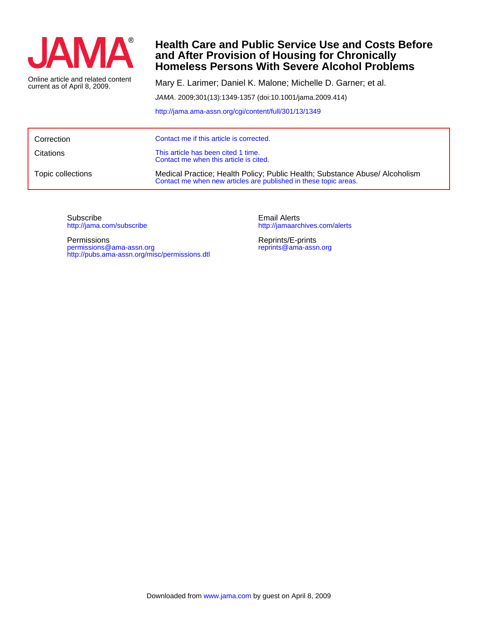

current as of April 8, 2009. Online article and related content

## **Homeless Persons With Severe Alcohol Problems and After Provision of Housing for Chronically Health Care and Public Service Use and Costs Before**

Mary E. Larimer; Daniel K. Malone; Michelle D. Garner; et al.

JAMA. 2009;301(13):1349-1357 (doi:10.1001/jama.2009.414)

<http://jama.ama-assn.org/cgi/content/full/301/13/1349>

| Correction        | Contact me if this article is corrected.                                                                                                        |
|-------------------|-------------------------------------------------------------------------------------------------------------------------------------------------|
| <b>Citations</b>  | This article has been cited 1 time.<br>Contact me when this article is cited.                                                                   |
| Topic collections | Medical Practice; Health Policy; Public Health; Substance Abuse/ Alcoholism<br>Contact me when new articles are published in these topic areas. |

<http://jama.com/subscribe> Subscribe

<http://pubs.ama-assn.org/misc/permissions.dtl> permissions@ama-assn.org Permissions

<http://jamaarchives.com/alerts> Email Alerts

[reprints@ama-assn.org](mailto:reprints@ama-assn.org) Reprints/E-prints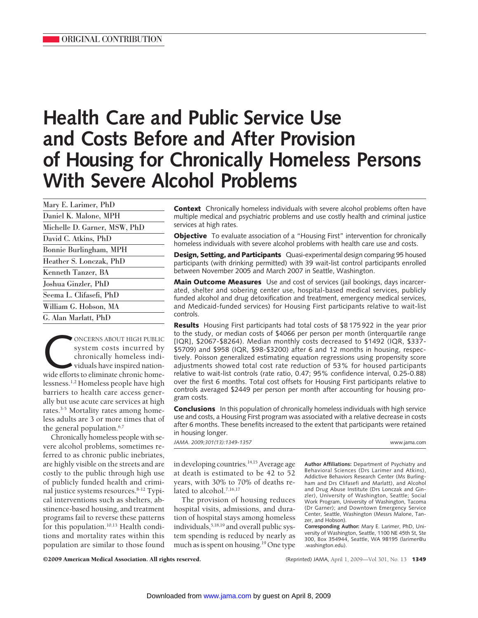# **Health Care and Public Service Use and Costs Before and After Provision of Housing for Chronically Homeless Persons With Severe Alcohol Problems**

| Mary E. Larimer, PhD         |
|------------------------------|
| Daniel K. Malone, MPH        |
| Michelle D. Garner, MSW, PhD |
| David C. Atkins, PhD         |
| Bonnie Burlingham, MPH       |
| Heather S. Lonczak, PhD      |
| Kenneth Tanzer, BA           |
| Joshua Ginzler, PhD          |
| Seema L. Clifasefi, PhD      |
| William G. Hobson, MA        |
| G. Alan Marlatt, PhD         |

ONCERNS ABOUT HIGH PUBLIC system costs incurred by chronically homeless individuals have inspired nation-<br>wide efforts to eliminate chronic homesystem costs incurred by chronically homeless individuals have inspired nationlessness.1,2 Homeless people have high barriers to health care access generally but use acute care services at high rates.<sup>3-5</sup> Mortality rates among homeless adults are 3 or more times that of the general population. $6,7$ 

Chronically homeless people with severe alcohol problems, sometimes referred to as chronic public inebriates, are highly visible on the streets and are costly to the public through high use of publicly funded health and criminal justice systems resources.<sup>8-12</sup> Typical interventions such as shelters, abstinence-based housing, and treatment programs fail to reverse these patterns for this population.10,13 Health conditions and mortality rates within this population are similar to those found

**Context** Chronically homeless individuals with severe alcohol problems often have multiple medical and psychiatric problems and use costly health and criminal justice services at high rates.

**Objective** To evaluate association of a "Housing First" intervention for chronically homeless individuals with severe alcohol problems with health care use and costs.

**Design, Setting, and Participants** Quasi-experimental design comparing 95 housed participants (with drinking permitted) with 39 wait-list control participants enrolled between November 2005 and March 2007 in Seattle, Washington.

**Main Outcome Measures** Use and cost of services (jail bookings, days incarcerated, shelter and sobering center use, hospital-based medical services, publicly funded alcohol and drug detoxification and treatment, emergency medical services, and Medicaid-funded services) for Housing First participants relative to wait-list controls.

**Results** Housing First participants had total costs of \$8 175 922 in the year prior to the study, or median costs of \$4066 per person per month (interquartile range [IQR], \$2067-\$8264). Median monthly costs decreased to \$1492 (IQR, \$337- \$5709) and \$958 (IQR, \$98-\$3200) after 6 and 12 months in housing, respectively. Poisson generalized estimating equation regressions using propensity score adjustments showed total cost rate reduction of 53% for housed participants relative to wait-list controls (rate ratio, 0.47; 95% confidence interval, 0.25-0.88) over the first 6 months. Total cost offsets for Housing First participants relative to controls averaged \$2449 per person per month after accounting for housing program costs.

**Conclusions** In this population of chronically homeless individuals with high service use and costs, a Housing First program was associated with a relative decrease in costs after 6 months. These benefits increased to the extent that participants were retained in housing longer.

*JAMA. 2009;301(13):1349-1357* www.jama.com

in developing countries.<sup>14,15</sup> Average age at death is estimated to be 42 to 52 years, with 30% to 70% of deaths related to alcohol.<sup>7,16,17</sup>

The provision of housing reduces hospital visits, admissions, and duration of hospital stays among homeless individuals, $5,18,19$  and overall public system spending is reduced by nearly as much as is spent on housing.19 One type

**Author Affiliations:** Department of Psychiatry and Behavioral Sciences (Drs Larimer and Atkins), Addictive Behaviors Research Center (Ms Burlingham and Drs Clifasefi and Marlatt), and Alcohol and Drug Abuse Institute (Drs Lonczak and Ginzler), University of Washington, Seattle; Social Work Program, University of Washington, Tacoma (Dr Garner); and Downtown Emergency Service Center, Seattle, Washington (Messrs Malone, Tanzer, and Hobson).

**Corresponding Author:** Mary E. Larimer, PhD, University of Washington, Seattle, 1100 NE 45th St, Ste 300, Box 354944, Seattle, WA 98195 (larimer@u .washington.edu).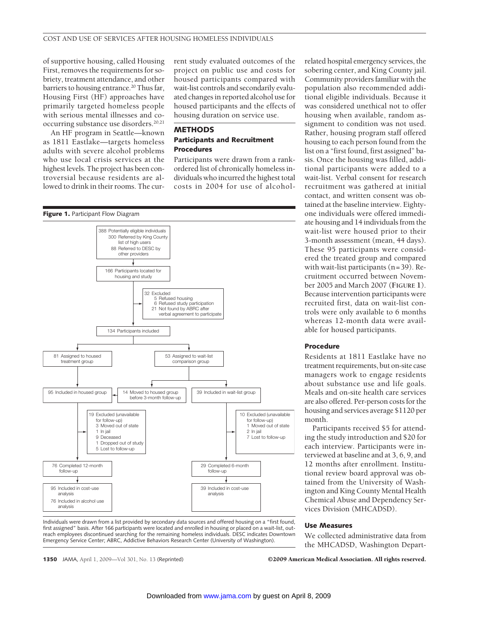of supportive housing, called Housing First, removes the requirements for sobriety, treatment attendance, and other barriers to housing entrance.<sup>20</sup> Thus far, Housing First (HF) approaches have primarily targeted homeless people with serious mental illnesses and cooccurring substance use disorders.<sup>20,21</sup>

An HF program in Seattle—known as 1811 Eastlake—targets homeless adults with severe alcohol problems who use local crisis services at the highest levels. The project has been controversial because residents are allowed to drink in their rooms. The current study evaluated outcomes of the project on public use and costs for housed participants compared with wait-list controls and secondarily evaluated changes in reported alcohol use for housed participants and the effects of housing duration on service use.

## **METHODS Participants and Recruitment Procedures**

Participants were drawn from a rankordered list of chronically homeless individuals who incurred the highest total costs in 2004 for use of alcohol-



Individuals were drawn from a list provided by secondary data sources and offered housing on a "first found, first assigned" basis. After 166 participants were located and enrolled in housing or placed on a wait-list, outreach employees discontinued searching for the remaining homeless individuals. DESC indicates Downtown Emergency Service Center; ABRC, Addictive Behaviors Research Center (University of Washington).

related hospital emergency services, the sobering center, and King County jail. Community providers familiar with the population also recommended additional eligible individuals. Because it was considered unethical not to offer housing when available, random assignment to condition was not used. Rather, housing program staff offered housing to each person found from the list on a "first found, first assigned" basis. Once the housing was filled, additional participants were added to a wait-list. Verbal consent for research recruitment was gathered at initial contact, and written consent was obtained at the baseline interview. Eightyone individuals were offered immediate housing and 14 individuals from the wait-list were housed prior to their 3-month assessment (mean, 44 days). These 95 participants were considered the treated group and compared with wait-list participants  $(n=39)$ . Recruitment occurred between November 2005 and March 2007 (**FIGURE 1**). Because intervention participants were recruited first, data on wait-list controls were only available to 6 months whereas 12-month data were available for housed participants.

## **Procedure**

Residents at 1811 Eastlake have no treatment requirements, but on-site case managers work to engage residents about substance use and life goals. Meals and on-site health care services are also offered. Per-person costs for the housing and services average \$1120 per month.

Participants received \$5 for attending the study introduction and \$20 for each interview. Participants were interviewed at baseline and at 3, 6, 9, and 12 months after enrollment. Institutional review board approval was obtained from the University of Washington and King County Mental Health Chemical Abuse and Dependency Services Division (MHCADSD).

#### **Use Measures**

We collected administrative data from the MHCADSD, Washington Depart-

**1350** JAMA, April 1, 2009—Vol 301, No. 13 (Reprinted) ©2009 American Medical Association. All rights reserved.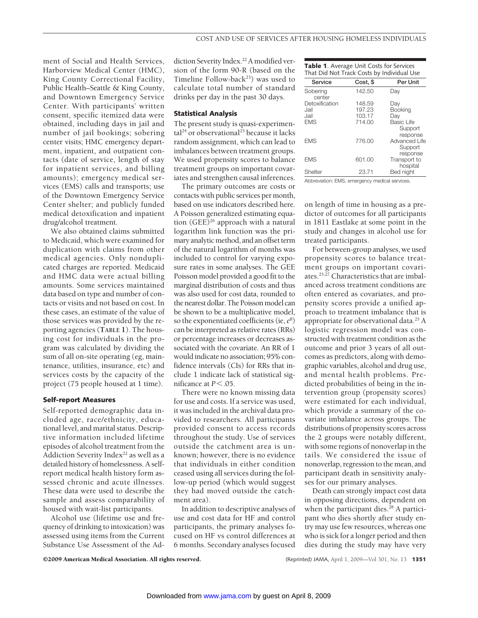**Sobering** center

ment of Social and Health Services, Harborview Medical Center (HMC), King County Correctional Facility, Public Health–Seattle & King County, and Downtown Emergency Service Center. With participants' written consent, specific itemized data were obtained, including days in jail and number of jail bookings; sobering center visits; HMC emergency department, inpatient, and outpatient contacts (date of service, length of stay for inpatient services, and billing amounts); emergency medical services (EMS) calls and transports; use of the Downtown Emergency Service Center shelter; and publicly funded medical detoxification and inpatient drug/alcohol treatment.

We also obtained claims submitted to Medicaid, which were examined for duplication with claims from other medical agencies. Only nonduplicated charges are reported. Medicaid and HMC data were actual billing amounts. Some services maintained data based on type and number of contacts or visits and not based on cost. In these cases, an estimate of the value of those services was provided by the reporting agencies (**TABLE 1**). The housing cost for individuals in the program was calculated by dividing the sum of all on-site operating (eg, maintenance, utilities, insurance, etc) and services costs by the capacity of the project (75 people housed at 1 time).

#### **Self-report Measures**

Self-reported demographic data included age, race/ethnicity, educational level, and marital status. Descriptive information included lifetime episodes of alcohol treatment from the Addiction Severity Index<sup>22</sup> as well as a detailed history of homelessness. A selfreport medical health history form assessed chronic and acute illnesses. These data were used to describe the sample and assess comparability of housed with wait-list participants.

Alcohol use (lifetime use and frequency of drinking to intoxication) was assessed using items from the Current Substance Use Assessment of the Addiction Severity Index.<sup>22</sup> A modified version of the form 90-R (based on the Timeline Follow-back $23$ ) was used to calculate total number of standard drinks per day in the past 30 days.

### **Statistical Analysis**

The present study is quasi-experimen $tal<sup>24</sup>$  or observational<sup>25</sup> because it lacks random assignment, which can lead to imbalances between treatment groups. We used propensity scores to balance treatment groups on important covariates and strengthen causal inferences.

The primary outcomes are costs or contacts with public services per month, based on use indicators described here. A Poisson generalized estimating equation  $(GEE)^{26}$  approach with a natural logarithm link function was the primary analytic method, and an offset term of the natural logarithm of months was included to control for varying exposure rates in some analyses. The GEE Poisson model provided a good fit to the marginal distribution of costs and thus was also used for cost data, rounded to the nearest dollar. The Poisson model can be shown to be a multiplicative model, so the exponentiated coefficients (ie,  $e^B$ ) can be interpreted as relative rates (RRs) or percentage increases or decreases associated with the covariate. An RR of 1 would indicate no association; 95% confidence intervals (CIs) for RRs that include 1 indicate lack of statistical significance at  $P < 0.05$ .

There were no known missing data for use and costs. If a service was used, it was included in the archival data provided to researchers. All participants provided consent to access records throughout the study. Use of services outside the catchment area is unknown; however, there is no evidence that individuals in either condition ceased using all services during the follow-up period (which would suggest they had moved outside the catchment area).

In addition to descriptive analyses of use and cost data for HF and control participants, the primary analyses focused on HF vs control differences at 6 months. Secondary analyses focused

proach to treatment imbalance that is appropriate for observational data.25 A logistic regression model was constructed with treatment condition as the outcome and prior 3 years of all outcomes as predictors, along with demographic variables, alcohol and drug use, and mental health problems. Predicted probabilities of being in the intervention group (propensity scores) were estimated for each individual, which provide a summary of the covariate imbalance across groups. The distributions of propensity scores across the 2 groups were notably different, with some regions of nonoverlap in the tails. We considered the issue of nonoverlap, regression to the mean, and participant death in sensitivity analyses for our primary analyses.

on length of time in housing as a predictor of outcomes for all participants in 1811 Eastlake at some point in the study and changes in alcohol use for

EMS 776.00 Advanced Life

EMS 601.00 Transport to

Shelter 23.71 Bed night Abbreviation: EMS, emergency medical services.

**Table 1**. Average Unit Costs for Services That Did Not Track Costs by Individual Use **Service Cost, \$ Per Unit**

Detoxification 148.59 Day<br>Jail 197.23 Boo Jail 197.23 Booking

Jail 103.17<br>EMS 714.00

142.50 Day

Day<br>Basic Life **Support** response

> **Support** response

hospital

For between-group analyses, we used propensity scores to balance treatment groups on important covariates.25,27 Characteristics that are imbalanced across treatment conditions are often entered as covariates, and propensity scores provide a unified ap-

treated participants.

Death can strongly impact cost data in opposing directions, dependent on when the participant dies. $28$  A participant who dies shortly after study entry may use few resources, whereas one who is sick for a longer period and then dies during the study may have very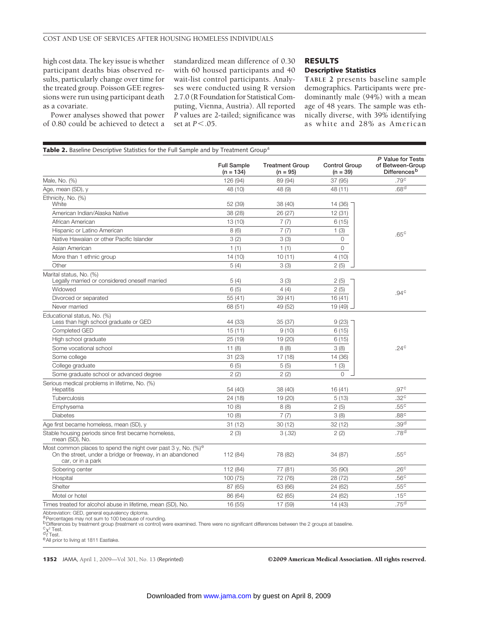**Table 2.** Baseline Descriptive Statistics for the Full Sample and by Treatment Group<sup>a</sup>

high cost data. The key issue is whether participant deaths bias observed results, particularly change over time for the treated group. Poisson GEE regressions were run using participant death as a covariate.

Power analyses showed that power of 0.80 could be achieved to detect a standardized mean difference of 0.30 with 60 housed participants and 40 wait-list control participants. Analyses were conducted using R version 2.7.0 (R Foundation for Statistical Computing, Vienna, Austria). All reported *P* values are 2-tailed; significance was set at  $P < .05$ .

## **RESULTS Descriptive Statistics**

**TABLE 2** presents baseline sample demographics. Participants were predominantly male (94%) with a mean age of 48 years. The sample was ethnically diverse, with 39% identifying as white and 28% as American

| <b>Table 2.</b> Baseme Descriptive Statistics for the Full Sample and by Treatment Group                                                            | <b>Full Sample</b><br>$(n = 134)$ | <b>Treatment Group</b><br>$(n = 95)$ | <b>Control Group</b><br>$(n = 39)$ | P Value for Tests<br>of Between-Group<br>Differences <sup>b</sup> |
|-----------------------------------------------------------------------------------------------------------------------------------------------------|-----------------------------------|--------------------------------------|------------------------------------|-------------------------------------------------------------------|
| Male, No. (%)                                                                                                                                       | 126 (94)                          | 89 (94)                              | 37 (95)                            | .79 <sup>C</sup>                                                  |
| Age, mean (SD), y                                                                                                                                   | 48 (10)                           | 48 (9)                               | 48 (11)                            | .68 <sup>d</sup>                                                  |
| Ethnicity, No. (%)<br>White                                                                                                                         | 52 (39)                           | 38 (40)                              | 14 (36)                            |                                                                   |
| American Indian/Alaska Native                                                                                                                       | 38 (28)                           | 26 (27)                              | 12 (31)                            |                                                                   |
| African American                                                                                                                                    | 13(10)                            | 7(7)                                 | 6(15)                              |                                                                   |
| Hispanic or Latino American                                                                                                                         | 8(6)                              | 7(7)                                 | 1(3)                               | .65 <sup>c</sup>                                                  |
| Native Hawaiian or other Pacific Islander                                                                                                           | 3(2)                              | 3(3)                                 | 0                                  |                                                                   |
| Asian American                                                                                                                                      | 1(1)                              | 1(1)                                 | $\circ$                            |                                                                   |
| More than 1 ethnic group                                                                                                                            | 14 (10)                           | 10(11)                               | 4(10)                              |                                                                   |
| Other                                                                                                                                               | 5(4)                              | 3(3)                                 | 2(5)                               |                                                                   |
| Marital status, No. (%)<br>Legally married or considered oneself married                                                                            | 5(4)                              | 3(3)                                 | 2(5)                               |                                                                   |
| Widowed                                                                                                                                             | 6(5)                              | 4(4)                                 | 2(5)                               | .94 <sup>c</sup>                                                  |
| Divorced or separated                                                                                                                               | 55 (41)                           | 39 (41)                              | 16(41)                             |                                                                   |
| Never married                                                                                                                                       | 68 (51)                           | 49 (52)                              | 19 (49)                            |                                                                   |
| Educational status, No. (%)<br>Less than high school graduate or GED                                                                                | 44 (33)                           | 35 (37)                              | 9(23)                              |                                                                   |
| Completed GED                                                                                                                                       | 15(11)                            | 9(10)                                | 6(15)                              |                                                                   |
| High school graduate                                                                                                                                | 25(19)                            | 19 (20)                              | 6(15)                              |                                                                   |
| Some vocational school                                                                                                                              | 11(8)                             | 8(8)                                 | 3(8)                               | .24 <sup>c</sup>                                                  |
| Some college                                                                                                                                        | 31(23)                            | 17 (18)                              | 14 (36)                            |                                                                   |
| College graduate                                                                                                                                    | 6(5)                              | 5(5)                                 | 1(3)                               |                                                                   |
| Some graduate school or advanced degree                                                                                                             | 2(2)                              | 2(2)                                 | 0                                  |                                                                   |
| Serious medical problems in lifetime, No. (%)<br>Hepatitis                                                                                          | 54 (40)                           | 38 (40)                              | 16(41)                             | .97 <sup>c</sup>                                                  |
| Tuberculosis                                                                                                                                        | 24 (18)                           | 19 (20)                              | 5(13)                              | .32 <sup>c</sup>                                                  |
| Emphysema                                                                                                                                           | 10(8)                             | 8(8)                                 | 2(5)                               | .55 <sup>c</sup>                                                  |
| <b>Diabetes</b>                                                                                                                                     | 10(8)                             | 7(7)                                 | 3(8)                               | .88 <sup>c</sup>                                                  |
| Age first became homeless, mean (SD), y                                                                                                             | 31(12)                            | 30 (12)                              | 32 (12)                            | .39 <sup>d</sup>                                                  |
| Stable housing periods since first became homeless,<br>mean (SD), No.                                                                               | 2(3)                              | 3(.32)                               | 2(2)                               | .78 <sup>d</sup>                                                  |
| Most common places to spend the night over past 3 y, No. $(\%)^e$<br>On the street, under a bridge or freeway, in an abandoned<br>car, or in a park | 112 (84)                          | 78 (82)                              | 34 (87)                            | .55 <sup>c</sup>                                                  |
| Sobering center                                                                                                                                     | 112 (84)                          | 77 (81)                              | 35 (90)                            | .26 <sup>c</sup>                                                  |
| Hospital                                                                                                                                            | 100 (75)                          | 72 (76)                              | 28 (72)                            | .56 <sup>c</sup>                                                  |
| Shelter                                                                                                                                             | 87 (65)                           | 63 (66)                              | 24 (62)                            | .55 <sup>c</sup>                                                  |
| Motel or hotel                                                                                                                                      | 86 (64)                           | 62 (65)                              | 24 (62)                            | .15 <sup>c</sup>                                                  |
| Times treated for alcohol abuse in lifetime, mean (SD), No.                                                                                         | 16 (55)                           | 17 (59)                              | 14 (43)                            | .75 <sup>d</sup>                                                  |

Abbreviation: GED, general equivalency diploma.<br><sup>a</sup> Percentages may not sum to 100 because of rounding.

b Differences by treatment group (treatment vs control) were examined. There were no significant differences between the 2 groups at baseline.

 $\alpha_t^2$  Test.<br>d<sub>t</sub> Test.

<sup>e</sup> All prior to living at 1811 Eastlake.

**1352** JAMA, April 1, 2009—Vol 301, No. 13 (Reprinted) ©2009 American Medical Association. All rights reserved.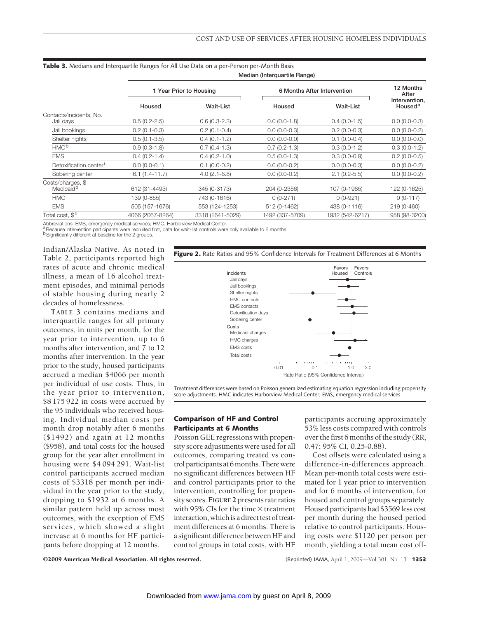|                                            | Median (Interguartile Range) |                  |                             |                   |                                     |  |  |  |
|--------------------------------------------|------------------------------|------------------|-----------------------------|-------------------|-------------------------------------|--|--|--|
|                                            | 1 Year Prior to Housing      |                  | 6 Months After Intervention |                   | 12 Months<br>After<br>Intervention. |  |  |  |
|                                            | Housed                       | <b>Wait-List</b> | Housed                      | <b>Wait-List</b>  | Housed <sup>a</sup>                 |  |  |  |
| Contacts/incidents, No.<br>Jail days       | $0.5(0.2-2.5)$               | $0.6(0.3-2.3)$   | $0.0(0.0-1.8)$              | $0.4(0.0-1.5)$    | $0.0(0.0-0.3)$                      |  |  |  |
| Jail bookings                              | $0.2(0.1-0.3)$               | $0.2(0.1-0.4)$   | $0.0(0.0-0.3)$              | $0.2(0.0-0.3)$    | $0.0(0.0-0.2)$                      |  |  |  |
| Shelter nights                             | $0.5(0.1-3.5)$               | $0.4(0.1 - 1.2)$ | $0.0 (0.0 - 0.0)$           | $0.1 (0.0 - 0.4)$ | $0.0(0.0-0.0)$                      |  |  |  |
| HMC <sup>b</sup>                           | $0.9(0.3-1.8)$               | $0.7(0.4-1.3)$   | $0.7(0.2-1.3)$              | $0.3(0.0-1.2)$    | $0.3(0.0-1.2)$                      |  |  |  |
| <b>EMS</b>                                 | $0.4(0.2 - 1.4)$             | $0.4(0.2-1.0)$   | $0.5(0.0-1.3)$              | $0.3(0.0-0.9)$    | $0.2(0.0-0.5)$                      |  |  |  |
| Detoxification center <sup>b</sup>         | $0.0(0.0-0.1)$               | $0.1(0.0-0.2)$   | $0.0(0.0-0.2)$              | $0.0(0.0-0.3)$    | $0.0(0.0-0.2)$                      |  |  |  |
| Sobering center                            | $6.1(1.4-11.7)$              | $4.0(2.1-6.8)$   | $0.0(0.0-0.2)$              | $2.1(0.2 - 5.5)$  | $0.0(0.0-0.2)$                      |  |  |  |
| Costs/charges, \$<br>Medicaid <sup>b</sup> | 612 (31-4493)                | 345 (0-3173)     | 204 (0-2356)                | 107 (0-1965)      | 122 (0-1625)                        |  |  |  |
| <b>HMC</b>                                 | 139 (0-855)                  | 743 (0-1616)     | $0(0-271)$                  | $0(0-921)$        | $0(0-117)$                          |  |  |  |
| <b>EMS</b>                                 | 505 (157-1676)               | 553 (124-1253)   | 512 (0-1462)                | 438 (0-1116)      | 219 (0-460)                         |  |  |  |
| Total cost, \$ <sup>b</sup>                | 4066 (2067-8264)             | 3318 (1641-5029) | 1492 (337-5709)             | 1932 (542-6217)   | 958 (98-3200)                       |  |  |  |

## **Table 3.** Medians and Interquartile Ranges for All Use Data on a per-Person per-Month Basis

Abbreviations: EMS, emergency medical services; HMC, Harborview Medical Center.<br><sup>a</sup> Because intervention participants were recruited first, data for wait-list controls were only available to 6 months.

b Significantly different at baseline for the 2 groups.

Indian/Alaska Native. As noted in Table 2, participants reported high rates of acute and chronic medical illness, a mean of 16 alcohol treatment episodes, and minimal periods of stable housing during nearly 2 decades of homelessness.

**TABLE 3** contains medians and interquartile ranges for all primary outcomes, in units per month, for the year prior to intervention, up to 6 months after intervention, and 7 to 12 months after intervention. In the year prior to the study, housed participants accrued a median \$4066 per month per individual of use costs. Thus, in the year prior to intervention, \$8 175 922 in costs were accrued by the 95 individuals who received housing. Individual median costs per month drop notably after 6 months (\$1492) and again at 12 months (\$958), and total costs for the housed group for the year after enrollment in housing were \$4 094 291. Wait-list control participants accrued median costs of \$3318 per month per individual in the year prior to the study, dropping to \$1932 at 6 months. A similar pattern held up across most outcomes, with the exception of EMS services, which showed a slight increase at 6 months for HF participants before dropping at 12 months.





Treatment differences were based on Poisson generalized estimating equation regression including propensity score adjustments. HMC indicates Harborview Medical Center; EMS, emergency medical services.

### **Comparison of HF and Control Participants at 6 Months**

Poisson GEE regressions with propensity score adjustments were used for all outcomes, comparing treated vs control participants at 6 months. There were no significant differences between HF and control participants prior to the intervention, controlling for propensity scores.**FIGURE 2** presents rate ratios with 95% CIs for the time  $\times$  treatment interaction, whichis a direct test of treatment differences at 6 months. There is a significant difference between HF and control groups in total costs, with HF

participants accruing approximately 53% less costs compared with controls over the first 6 months of the study (RR, 0.47; 95% CI, 0.25-0.88).

Cost offsets were calculated using a difference-in-differences approach. Mean per-month total costs were estimated for 1 year prior to intervention and for 6 months of intervention, for housed and control groups separately. Housed participants had \$3569 less cost per month during the housed period relative to control participants. Housing costs were \$1120 per person per month, yielding a total mean cost off-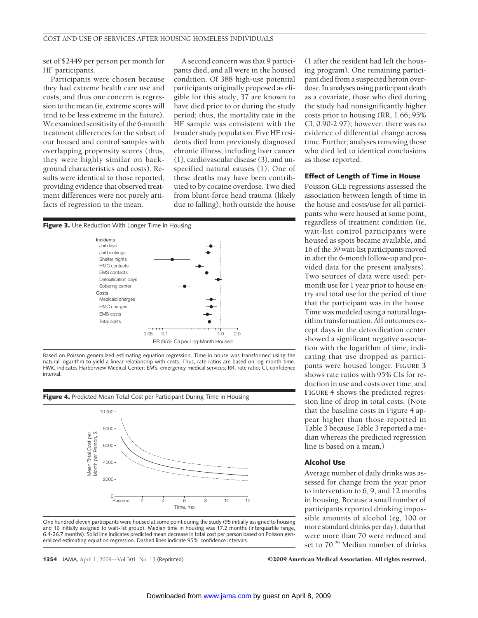set of \$2449 per person per month for HF participants.

Participants were chosen because they had extreme health care use and costs, and thus one concern is regression to the mean (ie, extreme scores will tend to be less extreme in the future). We examined sensitivity of the 6-month treatment differences for the subset of our housed and control samples with overlapping propensity scores (thus, they were highly similar on background characteristics and costs). Results were identical to those reported, providing evidence that observed treatment differences were not purely artifacts of regression to the mean.

A second concern was that 9 participants died, and all were in the housed condition. Of 388 high-use potential participants originally proposed as eligible for this study, 37 are known to have died prior to or during the study period; thus, the mortality rate in the HF sample was consistent with the broader study population. Five HF residents died from previously diagnosed chronic illness, including liver cancer (1), cardiovascular disease (3), and unspecified natural causes (1). One of these deaths may have been contributed to by cocaine overdose. Two died from blunt-force head trauma (likely due to falling), both outside the house



Based on Poisson generalized estimating equation regression. Time in house was transformed using the natural logarithm to yield a linear relationship with costs. Thus, rate ratios are based on log-month time. HMC indicates Harborview Medical Center; EMS, emergency medical services; RR, rate ratio; CI, confidence interval.



One hundred eleven participants were housed at some point during the study (95 initially assigned to housing and 16 initially assigned to wait-list group). Median time in housing was 17.2 months (interquartile range, 6.4-26.7 months). Solid line indicates predicted mean decrease in total cost per person based on Poisson generalized estimating equation regression. Dashed lines indicate 95% confidence intervals.

**1354** JAMA, April 1, 2009—Vol 301, No. 13 (Reprinted) ©2009 American Medical Association. All rights reserved.

(1 after the resident had left the housing program). One remaining participant died from a suspected heroin overdose. In analyses using participant death as a covariate, those who died during the study had nonsignificantly higher costs prior to housing (RR, 1.66; 95% CI, 0.90-2.97); however, there was no evidence of differential change across time. Further, analyses removing those who died led to identical conclusions as those reported.

#### **Effect of Length of Time in House**

Poisson GEE regressions assessed the association between length of time in the house and costs/use for all participants who were housed at some point, regardless of treatment condition (ie, wait-list control participants were housed as spots became available, and 16 of the 39 wait-list participants moved in after the 6-month follow-up and provided data for the present analyses). Two sources of data were used: permonth use for 1 year prior to house entry and total use for the period of time that the participant was in the house. Time was modeled using a natural logarithm transformation. All outcomes except days in the detoxification center showed a significant negative association with the logarithm of time, indicating that use dropped as participants were housed longer. **FIGURE 3** shows rate ratios with 95% CIs for reduction in use and costs over time, and **FIGURE 4** shows the predicted regression line of drop in total costs. (Note that the baseline costs in Figure 4 appear higher than those reported in Table 3 because Table 3 reported a median whereas the predicted regression line is based on a mean.)

## **Alcohol Use**

Average number of daily drinks was assessed for change from the year prior to intervention to 6, 9, and 12 months in housing. Because a small number of participants reported drinking impossible amounts of alcohol (eg, 100 or more standard drinks per day), data that were more than 70 were reduced and set to 70.29 Median number of drinks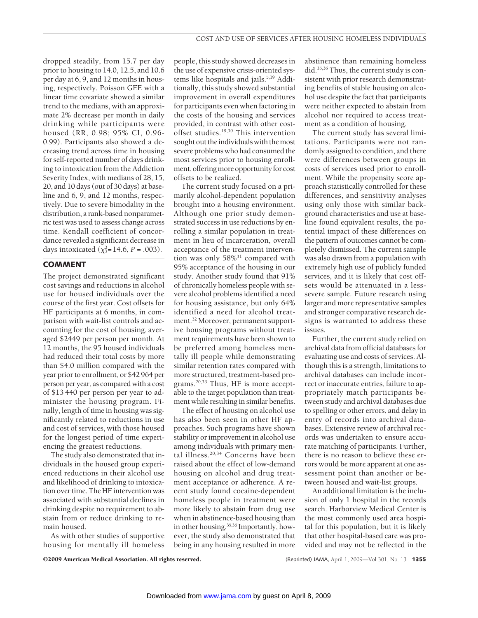dropped steadily, from 15.7 per day prior to housing to 14.0, 12.5, and 10.6 per day at 6, 9, and 12 months in housing, respectively. Poisson GEE with a linear time covariate showed a similar trend to the medians, with an approximate 2% decrease per month in daily drinking while participants were housed (RR, 0.98; 95% CI, 0.96- 0.99). Participants also showed a decreasing trend across time in housing for self-reported number of days drinking to intoxication from the Addiction Severity Index, with medians of 28, 15, 20, and 10 days (out of 30 days) at baseline and 6, 9, and 12 months, respectively. Due to severe bimodality in the distribution, a rank-based nonparametric test was used to assess change across time. Kendall coefficient of concordance revealed a significant decrease in days intoxicated  $(\chi^2_{3} = 14.6, P = .003)$ .

## **COMMENT**

The project demonstrated significant cost savings and reductions in alcohol use for housed individuals over the course of the first year. Cost offsets for HF participants at 6 months, in comparison with wait-list controls and accounting for the cost of housing, averaged \$2449 per person per month. At 12 months, the 95 housed individuals had reduced their total costs by more than \$4.0 million compared with the year prior to enrollment, or \$42 964 per person per year, as compared with a cost of \$13 440 per person per year to administer the housing program. Finally, length of time in housing was significantly related to reductions in use and cost of services, with those housed for the longest period of time experiencing the greatest reductions.

The study also demonstrated that individuals in the housed group experienced reductions in their alcohol use and likelihood of drinking to intoxication over time. The HF intervention was associated with substantial declines in drinking despite no requirement to abstain from or reduce drinking to remain housed.

As with other studies of supportive housing for mentally ill homeless people, this study showed decreases in the use of expensive crisis-oriented systems like hospitals and jails.<sup>5,19</sup> Additionally, this study showed substantial improvement in overall expenditures for participants even when factoring in the costs of the housing and services provided, in contrast with other costoffset studies.19,30 This intervention sought out the individuals with the most severe problems who had consumed the most services prior to housing enrollment, offering more opportunity for cost offsets to be realized.

The current study focused on a primarily alcohol-dependent population brought into a housing environment. Although one prior study demonstrated success in use reductions by enrolling a similar population in treatment in lieu of incarceration, overall acceptance of the treatment intervention was only 58%<sup>31</sup> compared with 95% acceptance of the housing in our study. Another study found that 91% of chronically homeless people with severe alcohol problems identified a need for housing assistance, but only 64% identified a need for alcohol treatment.32 Moreover, permanent supportive housing programs without treatment requirements have been shown to be preferred among homeless mentally ill people while demonstrating similar retention rates compared with more structured, treatment-based programs.20,33 Thus, HF is more acceptable to the target population than treatment while resulting in similar benefits.

The effect of housing on alcohol use has also been seen in other HF approaches. Such programs have shown stability or improvement in alcohol use among individuals with primary mental illness.<sup>20,34</sup> Concerns have been raised about the effect of low-demand housing on alcohol and drug treatment acceptance or adherence. A recent study found cocaine-dependent homeless people in treatment were more likely to abstain from drug use when in abstinence-based housing than in other housing.35,36 Importantly, however, the study also demonstrated that being in any housing resulted in more

abstinence than remaining homeless did.35,36 Thus, the current study is consistent with prior research demonstrating benefits of stable housing on alcohol use despite the fact that participants were neither expected to abstain from alcohol nor required to access treatment as a condition of housing.

The current study has several limitations. Participants were not randomly assigned to condition, and there were differences between groups in costs of services used prior to enrollment. While the propensity score approach statistically controlled for these differences, and sensitivity analyses using only those with similar background characteristics and use at baseline found equivalent results, the potential impact of these differences on the pattern of outcomes cannot be completely dismissed. The current sample was also drawn from a population with extremely high use of publicly funded services, and it is likely that cost offsets would be attenuated in a lesssevere sample. Future research using larger and more representative samples and stronger comparative research designs is warranted to address these issues.

Further, the current study relied on archival data from official databases for evaluating use and costs of services. Although this is a strength, limitations to archival databases can include incorrect or inaccurate entries, failure to appropriately match participants between study and archival databases due to spelling or other errors, and delay in entry of records into archival databases. Extensive review of archival records was undertaken to ensure accurate matching of participants. Further, there is no reason to believe these errors would be more apparent at one assessment point than another or between housed and wait-list groups.

An additional limitation is the inclusion of only 1 hospital in the records search. Harborview Medical Center is the most commonly used area hospital for this population, but it is likely that other hospital-based care was provided and may not be reflected in the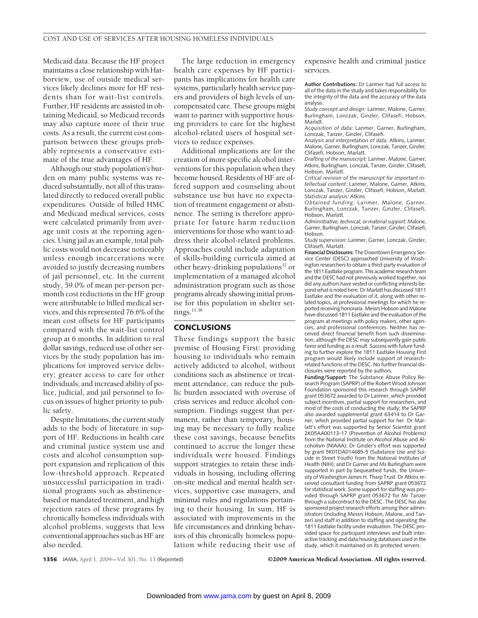Medicaid data. Because the HF project maintains a close relationship with Harborview, use of outside medical services likely declines more for HF residents than for wait-list controls. Further, HF residents are assisted in obtaining Medicaid, so Medicaid records may also capture more of their true costs. As a result, the current cost comparison between these groups probably represents a conservative estimate of the true advantages of HF.

Although our study population's burden on many public systems was reduced substantially, not all of this translated directly to reduced overall public expenditures. Outside of billed HMC and Medicaid medical services, costs were calculated primarily from average unit costs at the reporting agencies. Using jail as an example, total public costs would not decrease noticeably unless enough incarcerations were avoided to justify decreasing numbers of jail personnel, etc. In the current study, 59.0% of mean per-person permonth cost reductions in the HF group were attributable to billed medical services, and this represented 76.6% of the mean cost offsets for HF participants compared with the wait-list control group at 6 months. In addition to real dollar savings, reduced use of other services by the study population has implications for improved service delivery; greater access to care for other individuals; and increased ability of police, judicial, and jail personnel to focus on issues of higher priority to public safety.

Despite limitations, the current study adds to the body of literature in support of HF. Reductions in health care and criminal justice system use and costs and alcohol consumption support expansion and replication of this low-threshold approach. Repeated unsuccessful participation in traditional programs such as abstinencebased or mandated treatment, and high rejection rates of these programs by chronically homeless individuals with alcohol problems, suggests that less conventional approaches such as HF are also needed.

The large reduction in emergency health care expenses by HF participants has implications for health care systems, particularly health service payers and providers of high levels of uncompensated care. These groups might want to partner with supportive housing providers to care for the highest alcohol-related users of hospital services to reduce expenses.

Additional implications are for the creation of more specific alcohol interventions for this population when they become housed. Residents of HF are offered support and counseling about substance use but have no expectation of treatment engagement or abstinence. The setting is therefore appropriate for future harm reduction interventions for those who want to address their alcohol-related problems. Approaches could include adaptation of skills-building curricula aimed at other heavy-drinking populations<sup>37</sup> or implementation of a managed alcohol administration program such as those programs already showing initial promise for this population in shelter settings. $^{11,38}$ 

## **CONCLUSIONS**

These findings support the basic premise of Housing First: providing housing to individuals who remain actively addicted to alcohol, without conditions such as abstinence or treatment attendance, can reduce the public burden associated with overuse of crisis services and reduce alcohol consumption. Findings suggest that permanent, rather than temporary, housing may be necessary to fully realize these cost savings, because benefits continued to accrue the longer these individuals were housed. Findings support strategies to retain these individuals in housing, including offering on-site medical and mental health services, supportive case managers, and minimal rules and regulations pertaining to their housing. In sum, HF is associated with improvements in the life circumstances and drinking behaviors of this chronically homeless population while reducing their use of

expensive health and criminal justice services.

**Author Contributions:** Dr Larimer had full access to all of the data in the study and takes responsibility for the integrity of the data and the accuracy of the data analysis.

*Study concept and design:* Larimer, Malone, Garner, Burlingham, Lonczak, Ginzler, Clifasefi, Hobson, Marlatt.

*Acquisition of data:* Larimer, Garner, Burlingham, Lonczak, Tanzer, Ginzler, Clifasefi.

*Analysis and interpretation of data:* Atkins, Larimer, Malone, Garner, Burlingham, Lonczak, Tanzer, Ginzler, Clifasefi, Hobson, Marlatt.

*Drafting of the manuscript:* Larimer, Malone, Garner, Atkins, Burlingham, Lonczak, Tanzer, Ginzler, Clifasefi, Hobson, Marlatt.

*Critical revision of the manuscript for important intellectual content:* Larimer, Malone, Garner, Atkins, Lonczak, Tanzer, Ginzler, Clifasefi, Hobson, Marlatt. *Statistical analysis:* Atkins.

*Obtained funding:* Larimer, Malone, Garner, Burlingham, Lonczak, Tanzer, Ginzler, Clifasefi, Hobson, Marlatt.

*Administrative, technical, or material support:* Malone, Garner, Burlingham, Lonczak, Tanzer, Ginzler, Clifasefi, Hobson.

*Study supervision:* Larimer, Garner, Lonczak, Ginzler, Clifasefi, Marlatt.

**Financial Disclosures:** The Downtown Emergency Service Center (DESC) approached University of Washington researchers to obtain a third-party evaluation of the 1811 Eastlake program. This academic research team and the DESC had not previously worked together, nor did any authors have vested or conflicting interests beyond what is noted here. Dr Marlatt has discussed 1811 Eastlake and the evaluation of it, along with other related topics, at professional meetings for which he reported receiving honoraria. Messrs Hobson and Malone have discussed 1811 Eastlake and the evaluation of the program at meetings with policy makers, other agencies, and professional conferences. Neither has received direct financial benefit from such dissemination, although the DESC may subsequently gain public favor and funding as a result. Success with future funding to further explore the 1811 Eastlake Housing First program would likely include support of researchrelated functions of the DESC. No further financial disclosures were reported by the authors.

**Funding/Support:** The Substance Abuse Policy Research Program (SAPRP) of the Robert Wood Johnson Foundation sponsored this research through SAPRP grant 053672 awarded to Dr Larimer, which provided subject incentives, partial support for researchers, and most of the costs of conducting the study; the SAPRP also awarded supplemental grant 63414 to Dr Garner, which provided partial support for her. Dr Marlatt's effort was supported by Senior Scientist grant 2K05AA00113-17 (Prevention of Alcohol Problems) from the National Institute on Alcohol Abuse and Alcoholism (NIAAA); Dr Ginzler's effort was supported by grant 5K01DA014685-5 (Substance Use and Suicide in Street Youth) from the National Institutes of Health (NIH); and Dr Garner and Ms Burlingham were supported in part by bequeathed funds, the University of Washington James H. Tharp Trust. Dr Atkins received consultant funding from SAPRP grant 053672 for statistical work. Some support for staffing was provided through SAPRP grant 053672 for Mr Tanzer through a subcontract to the DESC. The DESC has also sponsored project research efforts among their administrators (including Messrs Hobson, Malone, and Tanzer) and staff in addition to staffing and operating the 1811 Eastlake facility under evaluation. The DESC provided space for participant interviews and built interactive tracking and data housing databases used in the study, which it maintained on its protected servers.

1356 JAMA, April 1, 2009—Vol 301, No. 13 (Reprinted) **63000 COLL 64 COLL 64 COLL 64 COLL 11 France 11 COLL 64 COLL 64 COLL 64 COLL 64 COLL 64 COLL 64 COLL 64 COLL 64 COLL 64 COLL 64 COLL 64 COLL 64 COLL 64 COLL 64 COLL 64**